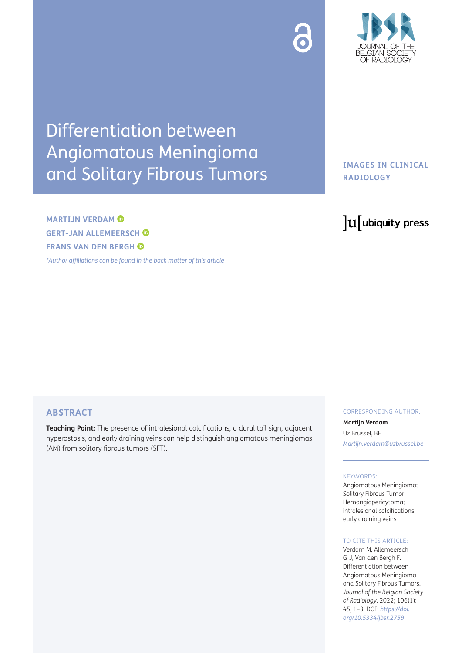

# Differentiation between Angiomatous Meningioma and Solitary Fibrous Tumors

# **MARTIJN VERDAM GERT-JAN ALLEMEERSCH FRANS VAN DEN BERGH**

*[\\*Author affiliations can be found in the back matter of this article](#page-2-0)*

## **IMAGES IN CLINICAL RADIOLOGY**

# lu ubiquity press

### **ABSTRACT**

**Teaching Point:** The presence of intralesional calcifications, a dural tail sign, adjacent hyperostosis, and early draining veins can help distinguish angiomatous meningiomas (AM) from solitary fibrous tumors (SFT).

#### CORRESPONDING AUTHOR:

**Martijn Verdam** Uz Brussel, BE *[Martijn.verdam@uzbrussel.be](mailto:Martijn.verdam@uzbrussel.be)*

#### KEYWORDS:

Angiomatous Meningioma; Solitary Fibrous Tumor; Hemangiopericytoma; intralesional calcifications; early draining veins

#### TO CITE THIS ARTICLE:

Verdam M, Allemeersch G-J, Van den Bergh F. Differentiation between Angiomatous Meningioma and Solitary Fibrous Tumors. *Journal of the Belgian Society of Radiology.* 2022; 106(1): 45, 1–3. DOI: *[https://doi.](https://doi.org/10.5334/jbsr.2759) [org/10.5334/jbsr.2759](https://doi.org/10.5334/jbsr.2759)*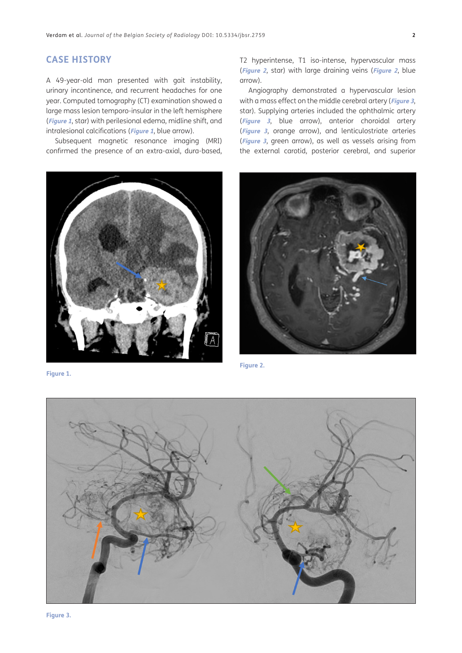#### **CASE HISTORY**

A 49-year-old man presented with gait instability, urinary incontinence, and recurrent headaches for one year. Computed tomography (CT) examination showed a large mass lesion temporo-insular in the left hemisphere (**[Figure 1](#page-1-0)**, star) with perilesional edema, midline shift, and intralesional calcifications (**[Figure 1](#page-1-0)**, blue arrow).

Subsequent magnetic resonance imaging (MRI) confirmed the presence of an extra-axial, dura-based,



**Figure 1.**

T2 hyperintense, T1 iso-intense, hypervascular mass (**[Figure 2](#page-1-1)**, star) with large draining veins (**[Figure 2](#page-1-1)**, blue arrow).

Angiography demonstrated a hypervascular lesion with a mass effect on the middle cerebral artery (**[Figure 3](#page-1-2)**, star). Supplying arteries included the ophthalmic artery (**[Figure 3](#page-1-2)**, blue arrow), anterior choroidal artery (**[Figure 3](#page-1-2)**, orange arrow), and lenticulostriate arteries (**[Figure 3](#page-1-2)**, green arrow), as well as vessels arising from the external carotid, posterior cerebral, and superior

<span id="page-1-1"></span>

**Figure 2.**

<span id="page-1-0"></span>

<span id="page-1-2"></span>